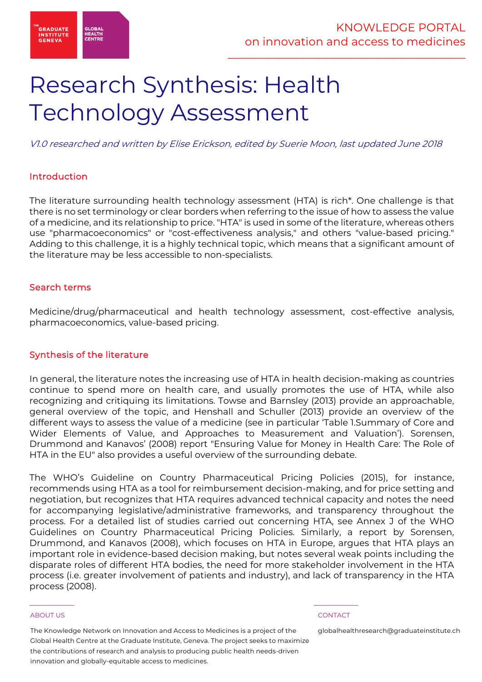

# Research Synthesis: Health Technology Assessment

V1.0 researched and written by Elise Erickson, edited by Suerie Moon, last updated June 2018

# Introduction

The literature surrounding health technology assessment (HTA) is rich\*. One challenge is that there is no set terminology or clear borders when referring to the issue of how to assess the value of a medicine, and its relationship to price. "HTA" is used in some of the literature, whereas others use "pharmacoeconomics" or "cost-effectiveness analysis," and others "value-based pricing." Adding to this challenge, it is a highly technical topic, which means that a significant amount of the literature may be less accessible to non-specialists.

# Search terms

Medicine/drug/pharmaceutical and health technology assessment, cost-effective analysis, pharmacoeconomics, value-based pricing.

# Synthesis of the literature

In general, the literature notes the increasing use of HTA in health decision-making as countries continue to spend more on health care, and usually promotes the use of HTA, while also recognizing and critiquing its limitations. Towse and Barnsley (2013) provide an approachable, general overview of the topic, and Henshall and Schuller (2013) provide an overview of the different ways to assess the value of a medicine (see in particular 'Table 1.Summary of Core and Wider Elements of Value, and Approaches to Measurement and Valuation'). Sorensen, Drummond and Kanavos' (2008) report "Ensuring Value for Money in Health Care: The Role of HTA in the EU" also provides a useful overview of the surrounding debate.

The WHO's Guideline on Country Pharmaceutical Pricing Policies (2015), for instance, recommends using HTA as a tool for reimbursement decision-making, and for price setting and negotiation, but recognizes that HTA requires advanced technical capacity and notes the need for accompanying legislative/administrative frameworks, and transparency throughout the process. For a detailed list of studies carried out concerning HTA, see Annex J of the WHO Guidelines on Country Pharmaceutical Pricing Policies. Similarly, a report by Sorensen, Drummond, and Kanavos (2008), which focuses on HTA in Europe, argues that HTA plays an important role in evidence-based decision making, but notes several weak points including the disparate roles of different HTA bodies, the need for more stakeholder involvement in the HTA process (i.e. greater involvement of patients and industry), and lack of transparency in the HTA process (2008).

### ABOUT US CONTACT AND A RESERVE AND LODGED AT A RESERVE AND LODGED AT A RESERVE AND LODGED AT A RESERVE AND LODGED AT A RESERVE AND LODGED AT A RESERVE AND LODGED AT A RESERVE AND LODGED AT A RESERVE AND LODGED AT A RESERVE

The Knowledge Network on Innovation and Access to Medicines is a project of the Global Health Centre at the Graduate Institute, Geneva. The project seeks to maximize the contributions of research and analysis to producing public health needs-driven innovation and globally-equitable access to medicines.

\_\_\_\_\_\_\_\_\_\_\_ \_\_\_\_\_\_\_\_\_\_\_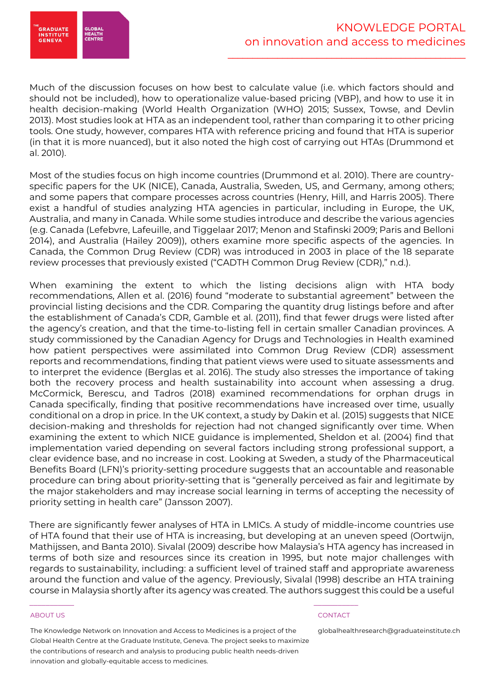

Much of the discussion focuses on how best to calculate value (i.e. which factors should and should not be included), how to operationalize value-based pricing (VBP), and how to use it in health decision-making (World Health Organization (WHO) 2015; Sussex, Towse, and Devlin 2013). Most studies look at HTA as an independent tool, rather than comparing it to other pricing tools. One study, however, compares HTA with reference pricing and found that HTA is superior (in that it is more nuanced), but it also noted the high cost of carrying out HTAs (Drummond et al. 2010).

Most of the studies focus on high income countries (Drummond et al. 2010). There are countryspecific papers for the UK (NICE), Canada, Australia, Sweden, US, and Germany, among others; and some papers that compare processes across countries (Henry, Hill, and Harris 2005). There exist a handful of studies analyzing HTA agencies in particular, including in Europe, the UK, Australia, and many in Canada. While some studies introduce and describe the various agencies (e.g. Canada (Lefebvre, Lafeuille, and Tiggelaar 2017; Menon and Stafinski 2009; Paris and Belloni 2014), and Australia (Hailey 2009)), others examine more specific aspects of the agencies. In Canada, the Common Drug Review (CDR) was introduced in 2003 in place of the 18 separate review processes that previously existed ("CADTH Common Drug Review (CDR)," n.d.).

When examining the extent to which the listing decisions align with HTA body recommendations, Allen et al. (2016) found "moderate to substantial agreement" between the provincial listing decisions and the CDR. Comparing the quantity drug listings before and after the establishment of Canada's CDR, Gamble et al. (2011), find that fewer drugs were listed after the agency's creation, and that the time-to-listing fell in certain smaller Canadian provinces. A study commissioned by the Canadian Agency for Drugs and Technologies in Health examined how patient perspectives were assimilated into Common Drug Review (CDR) assessment reports and recommendations, finding that patient views were used to situate assessments and to interpret the evidence (Berglas et al. 2016). The study also stresses the importance of taking both the recovery process and health sustainability into account when assessing a drug. McCormick, Berescu, and Tadros (2018) examined recommendations for orphan drugs in Canada specifically, finding that positive recommendations have increased over time, usually conditional on a drop in price. In the UK context, a study by Dakin et al. (2015) suggests that NICE decision-making and thresholds for rejection had not changed significantly over time. When examining the extent to which NICE guidance is implemented, Sheldon et al. (2004) find that implementation varied depending on several factors including strong professional support, a clear evidence base, and no increase in cost. Looking at Sweden, a study of the Pharmaceutical Benefits Board (LFN)'s priority-setting procedure suggests that an accountable and reasonable procedure can bring about priority-setting that is "generally perceived as fair and legitimate by the major stakeholders and may increase social learning in terms of accepting the necessity of priority setting in health care" (Jansson 2007).

There are significantly fewer analyses of HTA in LMICs. A study of middle-income countries use of HTA found that their use of HTA is increasing, but developing at an uneven speed (Oortwijn, Mathijssen, and Banta 2010). Sivalal (2009) describe how Malaysia's HTA agency has increased in terms of both size and resources since its creation in 1995, but note major challenges with regards to sustainability, including: a sufficient level of trained staff and appropriate awareness around the function and value of the agency. Previously, Sivalal (1998) describe an HTA training course in Malaysia shortly after its agency was created. The authors suggest this could be a useful

### ABOUT US CONTACT AND A RESERVE AND LODGED AT A RESERVE AND LODGED AT A RESERVE AND LODGED AT A RESERVE AND LODGED AT A RESERVE AND LODGED AT A RESERVE AND LODGED AT A RESERVE AND LODGED AT A RESERVE AND LODGED AT A RESERVE

The Knowledge Network on Innovation and Access to Medicines is a project of the Global Health Centre at the Graduate Institute, Geneva. The project seeks to maximize the contributions of research and analysis to producing public health needs-driven innovation and globally-equitable access to medicines.

\_\_\_\_\_\_\_\_\_\_\_ \_\_\_\_\_\_\_\_\_\_\_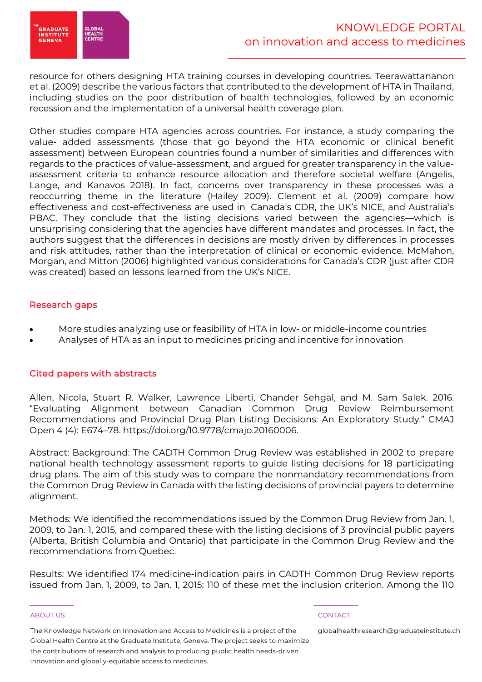

resource for others designing HTA training courses in developing countries. Teerawattananon et al. (2009) describe the various factors that contributed to the development of HTA in Thailand, including studies on the poor distribution of health technologies, followed by an economic recession and the implementation of a universal health coverage plan.

Other studies compare HTA agencies across countries. For instance, a study comparing the value- added assessments (those that go beyond the HTA economic or clinical benefit assessment) between European countries found a number of similarities and differences with regards to the practices of value-assessment, and argued for greater transparency in the valueassessment criteria to enhance resource allocation and therefore societal welfare (Angelis, Lange, and Kanavos 2018). In fact, concerns over transparency in these processes was a reoccurring theme in the literature (Hailey 2009). Clement et al. (2009) compare how effectiveness and cost-effectiveness are used in Canada's CDR, the UK's NICE, and Australia's PBAC. They conclude that the listing decisions varied between the agencies—which is unsurprising considering that the agencies have different mandates and processes. In fact, the authors suggest that the differences in decisions are mostly driven by differences in processes and risk attitudes, rather than the interpretation of clinical or economic evidence. McMahon, Morgan, and Mitton (2006) highlighted various considerations for Canada's CDR (just after CDR was created) based on lessons learned from the UK's NICE.

# Research gaps

- More studies analyzing use or feasibility of HTA in low- or middle-income countries
- Analyses of HTA as an input to medicines pricing and incentive for innovation

# Cited papers with abstracts

Allen, Nicola, Stuart R. Walker, Lawrence Liberti, Chander Sehgal, and M. Sam Salek. 2016. "Evaluating Alignment between Canadian Common Drug Review Reimbursement Recommendations and Provincial Drug Plan Listing Decisions: An Exploratory Study." CMAJ Open 4 (4): E674–78. https://doi.org/10.9778/cmajo.20160006.

Abstract: Background: The CADTH Common Drug Review was established in 2002 to prepare national health technology assessment reports to guide listing decisions for 18 participating drug plans. The aim of this study was to compare the nonmandatory recommendations from the Common Drug Review in Canada with the listing decisions of provincial payers to determine alignment.

Methods: We identified the recommendations issued by the Common Drug Review from Jan. 1, 2009, to Jan. 1, 2015, and compared these with the listing decisions of 3 provincial public payers (Alberta, British Columbia and Ontario) that participate in the Common Drug Review and the recommendations from Quebec.

Results: We identified 174 medicine-indication pairs in CADTH Common Drug Review reports issued from Jan. 1, 2009, to Jan. 1, 2015; 110 of these met the inclusion criterion. Among the 110

### ABOUT US CONTACT AND A RESERVE AND LODGED AT A RESERVE AND LODGED AT A RESERVE AND LODGED AT A RESERVE AND LODGED AT A RESERVE AND LODGED AT A RESERVE AND LODGED AT A RESERVE AND LODGED AT A RESERVE AND LODGED AT A RESERVE

The Knowledge Network on Innovation and Access to Medicines is a project of the Global Health Centre at the Graduate Institute, Geneva. The project seeks to maximize the contributions of research and analysis to producing public health needs-driven innovation and globally-equitable access to medicines.

\_\_\_\_\_\_\_\_\_\_\_ \_\_\_\_\_\_\_\_\_\_\_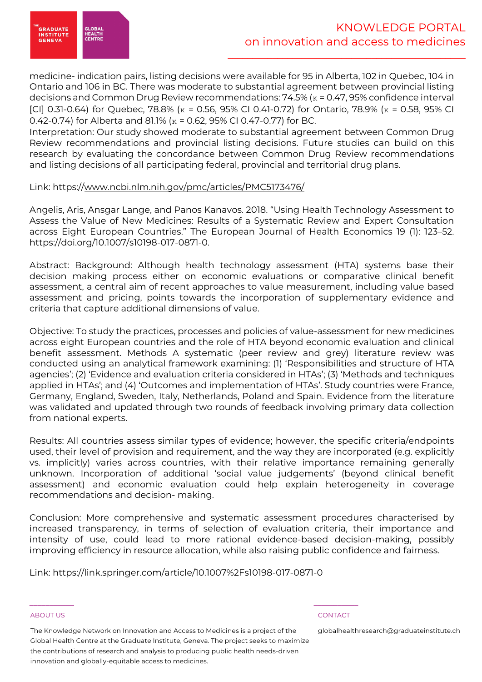

medicine- indication pairs, listing decisions were available for 95 in Alberta, 102 in Quebec, 104 in Ontario and 106 in BC. There was moderate to substantial agreement between provincial listing decisions and Common Drug Review recommendations: 74.5% (κ = 0.47, 95% confidence interval [CI] 0.31-0.64) for Quebec, 78.8% ( $\kappa$  = 0.56, 95% CI 0.41-0.72) for Ontario, 78.9% ( $\kappa$  = 0.58, 95% CI 0.42-0.74) for Alberta and 81.1% (κ = 0.62, 95% CI 0.47-0.77) for BC.

Interpretation: Our study showed moderate to substantial agreement between Common Drug Review recommendations and provincial listing decisions. Future studies can build on this research by evaluating the concordance between Common Drug Review recommendations and listing decisions of all participating federal, provincial and territorial drug plans.

# Link: https://www.ncbi.nlm.nih.gov/pmc/articles/PMC5173476/

Angelis, Aris, Ansgar Lange, and Panos Kanavos. 2018. "Using Health Technology Assessment to Assess the Value of New Medicines: Results of a Systematic Review and Expert Consultation across Eight European Countries." The European Journal of Health Economics 19 (1): 123–52. https://doi.org/10.1007/s10198-017-0871-0.

Abstract: Background: Although health technology assessment (HTA) systems base their decision making process either on economic evaluations or comparative clinical benefit assessment, a central aim of recent approaches to value measurement, including value based assessment and pricing, points towards the incorporation of supplementary evidence and criteria that capture additional dimensions of value.

Objective: To study the practices, processes and policies of value-assessment for new medicines across eight European countries and the role of HTA beyond economic evaluation and clinical benefit assessment. Methods A systematic (peer review and grey) literature review was conducted using an analytical framework examining: (1) 'Responsibilities and structure of HTA agencies'; (2) 'Evidence and evaluation criteria considered in HTAs'; (3) 'Methods and techniques applied in HTAs'; and (4) 'Outcomes and implementation of HTAs'. Study countries were France, Germany, England, Sweden, Italy, Netherlands, Poland and Spain. Evidence from the literature was validated and updated through two rounds of feedback involving primary data collection from national experts.

Results: All countries assess similar types of evidence; however, the specific criteria/endpoints used, their level of provision and requirement, and the way they are incorporated (e.g. explicitly vs. implicitly) varies across countries, with their relative importance remaining generally unknown. Incorporation of additional 'social value judgements' (beyond clinical benefit assessment) and economic evaluation could help explain heterogeneity in coverage recommendations and decision- making.

Conclusion: More comprehensive and systematic assessment procedures characterised by increased transparency, in terms of selection of evaluation criteria, their importance and intensity of use, could lead to more rational evidence-based decision-making, possibly improving efficiency in resource allocation, while also raising public confidence and fairness.

Link: https://link.springer.com/article/10.1007%2Fs10198-017-0871-0

\_\_\_\_\_\_\_\_\_\_\_ \_\_\_\_\_\_\_\_\_\_\_

### ABOUT US CONTACT AND A RESERVE AND LODGED AT A RESERVE AND LODGED AT A RESERVE AND LODGED AT A RESERVE AND LODGED AT A RESERVE AND LODGED AT A RESERVE AND LODGED AT A RESERVE AND LODGED AT A RESERVE AND LODGED AT A RESERVE

The Knowledge Network on Innovation and Access to Medicines is a project of the Global Health Centre at the Graduate Institute, Geneva. The project seeks to maximize the contributions of research and analysis to producing public health needs-driven innovation and globally-equitable access to medicines.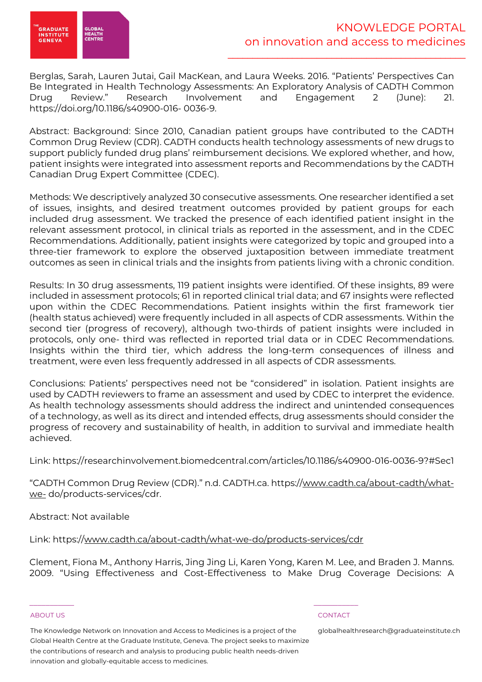

Berglas, Sarah, Lauren Jutai, Gail MacKean, and Laura Weeks. 2016. "Patients' Perspectives Can Be Integrated in Health Technology Assessments: An Exploratory Analysis of CADTH Common Drug Review." Research Involvement and Engagement 2 (June): 21. https://doi.org/10.1186/s40900-016- 0036-9.

Abstract: Background: Since 2010, Canadian patient groups have contributed to the CADTH Common Drug Review (CDR). CADTH conducts health technology assessments of new drugs to support publicly funded drug plans' reimbursement decisions. We explored whether, and how, patient insights were integrated into assessment reports and Recommendations by the CADTH Canadian Drug Expert Committee (CDEC).

Methods: We descriptively analyzed 30 consecutive assessments. One researcher identified a set of issues, insights, and desired treatment outcomes provided by patient groups for each included drug assessment. We tracked the presence of each identified patient insight in the relevant assessment protocol, in clinical trials as reported in the assessment, and in the CDEC Recommendations. Additionally, patient insights were categorized by topic and grouped into a three-tier framework to explore the observed juxtaposition between immediate treatment outcomes as seen in clinical trials and the insights from patients living with a chronic condition.

Results: In 30 drug assessments, 119 patient insights were identified. Of these insights, 89 were included in assessment protocols; 61 in reported clinical trial data; and 67 insights were reflected upon within the CDEC Recommendations. Patient insights within the first framework tier (health status achieved) were frequently included in all aspects of CDR assessments. Within the second tier (progress of recovery), although two-thirds of patient insights were included in protocols, only one- third was reflected in reported trial data or in CDEC Recommendations. Insights within the third tier, which address the long-term consequences of illness and treatment, were even less frequently addressed in all aspects of CDR assessments.

Conclusions: Patients' perspectives need not be "considered" in isolation. Patient insights are used by CADTH reviewers to frame an assessment and used by CDEC to interpret the evidence. As health technology assessments should address the indirect and unintended consequences of a technology, as well as its direct and intended effects, drug assessments should consider the progress of recovery and sustainability of health, in addition to survival and immediate health achieved.

Link: https://researchinvolvement.biomedcentral.com/articles/10.1186/s40900-016-0036-9?#Sec1

"CADTH Common Drug Review (CDR)." n.d. CADTH.ca. https://www.cadth.ca/about-cadth/whatwe- do/products-services/cdr.

Abstract: Not available

Link: https://www.cadth.ca/about-cadth/what-we-do/products-services/cdr

\_\_\_\_\_\_\_\_\_\_\_ \_\_\_\_\_\_\_\_\_\_\_

Clement, Fiona M., Anthony Harris, Jing Jing Li, Karen Yong, Karen M. Lee, and Braden J. Manns. 2009. "Using Effectiveness and Cost-Effectiveness to Make Drug Coverage Decisions: A

### ABOUT US CONTACT AND A RESERVE AND LODGED AT A RESERVE AND LODGED AT A RESERVE AND LODGED AT A RESERVE AND LODGED AT A RESERVE AND LODGED AT A RESERVE AND LODGED AT A RESERVE AND LODGED AT A RESERVE AND LODGED AT A RESERVE

The Knowledge Network on Innovation and Access to Medicines is a project of the Global Health Centre at the Graduate Institute, Geneva. The project seeks to maximize the contributions of research and analysis to producing public health needs-driven innovation and globally-equitable access to medicines.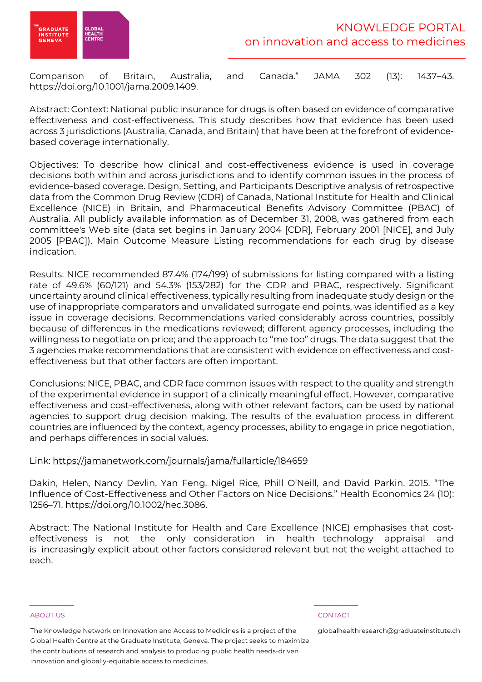

Comparison of Britain, Australia, and Canada." JAMA 302 (13): 1437–43. https://doi.org/10.1001/jama.2009.1409.

Abstract: Context: National public insurance for drugs is often based on evidence of comparative effectiveness and cost-effectiveness. This study describes how that evidence has been used across 3 jurisdictions (Australia, Canada, and Britain) that have been at the forefront of evidencebased coverage internationally.

Objectives: To describe how clinical and cost-effectiveness evidence is used in coverage decisions both within and across jurisdictions and to identify common issues in the process of evidence-based coverage. Design, Setting, and Participants Descriptive analysis of retrospective data from the Common Drug Review (CDR) of Canada, National Institute for Health and Clinical Excellence (NICE) in Britain, and Pharmaceutical Benefits Advisory Committee (PBAC) of Australia. All publicly available information as of December 31, 2008, was gathered from each committee's Web site (data set begins in January 2004 [CDR], February 2001 [NICE], and July 2005 [PBAC]). Main Outcome Measure Listing recommendations for each drug by disease indication.

Results: NICE recommended 87.4% (174/199) of submissions for listing compared with a listing rate of 49.6% (60/121) and 54.3% (153/282) for the CDR and PBAC, respectively. Significant uncertainty around clinical effectiveness, typically resulting from inadequate study design or the use of inappropriate comparators and unvalidated surrogate end points, was identified as a key issue in coverage decisions. Recommendations varied considerably across countries, possibly because of differences in the medications reviewed; different agency processes, including the willingness to negotiate on price; and the approach to "me too" drugs. The data suggest that the 3 agencies make recommendations that are consistent with evidence on effectiveness and costeffectiveness but that other factors are often important.

Conclusions: NICE, PBAC, and CDR face common issues with respect to the quality and strength of the experimental evidence in support of a clinically meaningful effect. However, comparative effectiveness and cost-effectiveness, along with other relevant factors, can be used by national agencies to support drug decision making. The results of the evaluation process in different countries are influenced by the context, agency processes, ability to engage in price negotiation, and perhaps differences in social values.

# Link: https://jamanetwork.com/journals/jama/fullarticle/184659

Dakin, Helen, Nancy Devlin, Yan Feng, Nigel Rice, Phill O'Neill, and David Parkin. 2015. "The Influence of Cost-Effectiveness and Other Factors on Nice Decisions." Health Economics 24 (10): 1256–71. https://doi.org/10.1002/hec.3086.

Abstract: The National Institute for Health and Care Excellence (NICE) emphasises that costeffectiveness is not the only consideration in health technology appraisal and is increasingly explicit about other factors considered relevant but not the weight attached to each.

### ABOUT US CONTACT AND A RESERVE AND LODGED AT A RESERVE AND LODGED AT A RESERVE AND LODGED AT A RESERVE AND LODGED AT A RESERVE AND LODGED AT A RESERVE AND LODGED AT A RESERVE AND LODGED AT A RESERVE AND LODGED AT A RESERVE

The Knowledge Network on Innovation and Access to Medicines is a project of the Global Health Centre at the Graduate Institute, Geneva. The project seeks to maximize the contributions of research and analysis to producing public health needs-driven innovation and globally-equitable access to medicines.

\_\_\_\_\_\_\_\_\_\_\_ \_\_\_\_\_\_\_\_\_\_\_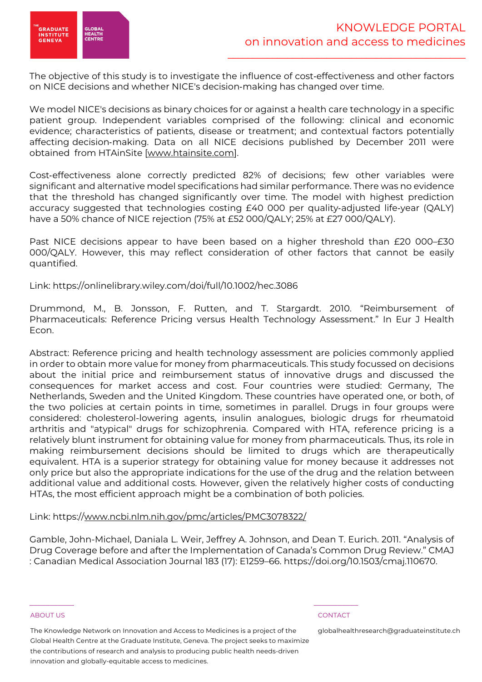

The objective of this study is to investigate the influence of cost-effectiveness and other factors on NICE decisions and whether NICE's decision-making has changed over time.

We model NICE's decisions as binary choices for or against a health care technology in a specific patient group. Independent variables comprised of the following: clinical and economic evidence; characteristics of patients, disease or treatment; and contextual factors potentially affecting decision-making. Data on all NICE decisions published by December 2011 were obtained from HTAinSite [www.htainsite.com].

Cost-effectiveness alone correctly predicted 82% of decisions; few other variables were significant and alternative model specifications had similar performance. There was no evidence that the threshold has changed significantly over time. The model with highest prediction accuracy suggested that technologies costing £40 000 per quality-adjusted life-year (QALY) have a 50% chance of NICE rejection (75% at £52 000/QALY; 25% at £27 000/QALY).

Past NICE decisions appear to have been based on a higher threshold than £20 000–£30 000/QALY. However, this may reflect consideration of other factors that cannot be easily quantified.

Link: https://onlinelibrary.wiley.com/doi/full/10.1002/hec.3086

Drummond, M., B. Jonsson, F. Rutten, and T. Stargardt. 2010. "Reimbursement of Pharmaceuticals: Reference Pricing versus Health Technology Assessment." In Eur J Health Econ.

Abstract: Reference pricing and health technology assessment are policies commonly applied in order to obtain more value for money from pharmaceuticals. This study focussed on decisions about the initial price and reimbursement status of innovative drugs and discussed the consequences for market access and cost. Four countries were studied: Germany, The Netherlands, Sweden and the United Kingdom. These countries have operated one, or both, of the two policies at certain points in time, sometimes in parallel. Drugs in four groups were considered: cholesterol-lowering agents, insulin analogues, biologic drugs for rheumatoid arthritis and "atypical" drugs for schizophrenia. Compared with HTA, reference pricing is a relatively blunt instrument for obtaining value for money from pharmaceuticals. Thus, its role in making reimbursement decisions should be limited to drugs which are therapeutically equivalent. HTA is a superior strategy for obtaining value for money because it addresses not only price but also the appropriate indications for the use of the drug and the relation between additional value and additional costs. However, given the relatively higher costs of conducting HTAs, the most efficient approach might be a combination of both policies.

# Link: https://www.ncbi.nlm.nih.gov/pmc/articles/PMC3078322/

Gamble, John-Michael, Daniala L. Weir, Jeffrey A. Johnson, and Dean T. Eurich. 2011. "Analysis of Drug Coverage before and after the Implementation of Canada's Common Drug Review." CMAJ : Canadian Medical Association Journal 183 (17): E1259–66. https://doi.org/10.1503/cmaj.110670.

### ABOUT US CONTACT AND A RESERVE AND LODGED AT A RESERVE AND LODGED AT A RESERVE AND LODGED AT A RESERVE AND LODGED AT A RESERVE AND LODGED AT A RESERVE AND LODGED AT A RESERVE AND LODGED AT A RESERVE AND LODGED AT A RESERVE

The Knowledge Network on Innovation and Access to Medicines is a project of the Global Health Centre at the Graduate Institute, Geneva. The project seeks to maximize the contributions of research and analysis to producing public health needs-driven innovation and globally-equitable access to medicines.

\_\_\_\_\_\_\_\_\_\_\_ \_\_\_\_\_\_\_\_\_\_\_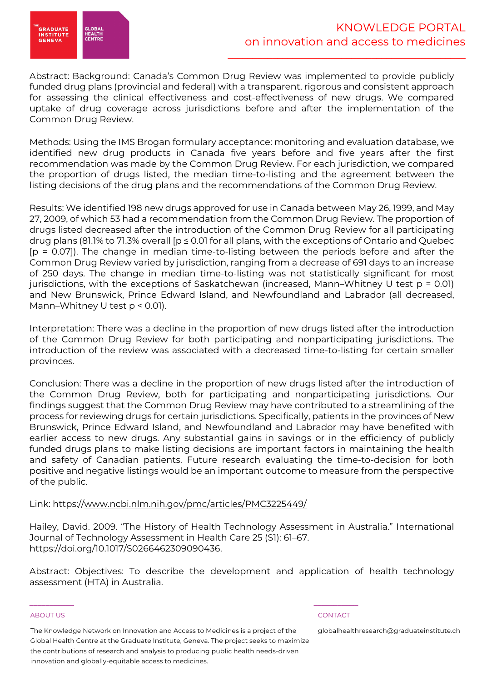

Abstract: Background: Canada's Common Drug Review was implemented to provide publicly funded drug plans (provincial and federal) with a transparent, rigorous and consistent approach for assessing the clinical effectiveness and cost-effectiveness of new drugs. We compared uptake of drug coverage across jurisdictions before and after the implementation of the Common Drug Review.

Methods: Using the IMS Brogan formulary acceptance: monitoring and evaluation database, we identified new drug products in Canada five years before and five years after the first recommendation was made by the Common Drug Review. For each jurisdiction, we compared the proportion of drugs listed, the median time-to-listing and the agreement between the listing decisions of the drug plans and the recommendations of the Common Drug Review.

Results: We identified 198 new drugs approved for use in Canada between May 26, 1999, and May 27, 2009, of which 53 had a recommendation from the Common Drug Review. The proportion of drugs listed decreased after the introduction of the Common Drug Review for all participating drug plans (81.1% to 71.3% overall  $[p \le 0.01$  for all plans, with the exceptions of Ontario and Quebec [p = 0.07]). The change in median time-to-listing between the periods before and after the Common Drug Review varied by jurisdiction, ranging from a decrease of 691 days to an increase of 250 days. The change in median time-to-listing was not statistically significant for most jurisdictions, with the exceptions of Saskatchewan (increased, Mann–Whitney U test p = 0.01) and New Brunswick, Prince Edward Island, and Newfoundland and Labrador (all decreased, Mann–Whitney U test p < 0.01).

Interpretation: There was a decline in the proportion of new drugs listed after the introduction of the Common Drug Review for both participating and nonparticipating jurisdictions. The introduction of the review was associated with a decreased time-to-listing for certain smaller provinces.

Conclusion: There was a decline in the proportion of new drugs listed after the introduction of the Common Drug Review, both for participating and nonparticipating jurisdictions. Our findings suggest that the Common Drug Review may have contributed to a streamlining of the process for reviewing drugs for certain jurisdictions. Specifically, patients in the provinces of New Brunswick, Prince Edward Island, and Newfoundland and Labrador may have benefited with earlier access to new drugs. Any substantial gains in savings or in the efficiency of publicly funded drugs plans to make listing decisions are important factors in maintaining the health and safety of Canadian patients. Future research evaluating the time-to-decision for both positive and negative listings would be an important outcome to measure from the perspective of the public.

# Link: https://www.ncbi.nlm.nih.gov/pmc/articles/PMC3225449/

Hailey, David. 2009. "The History of Health Technology Assessment in Australia." International Journal of Technology Assessment in Health Care 25 (S1): 61–67. https://doi.org/10.1017/S0266462309090436.

Abstract: Objectives: To describe the development and application of health technology assessment (HTA) in Australia.

### ABOUT US CONTACT AND A RESERVE AND LODGED AT A RESERVE AND LODGED AT A RESERVE AND LODGED AT A RESERVE AND LODGED AT A RESERVE AND LODGED AT A RESERVE AND LODGED AT A RESERVE AND LODGED AT A RESERVE AND LODGED AT A RESERVE

The Knowledge Network on Innovation and Access to Medicines is a project of the Global Health Centre at the Graduate Institute, Geneva. The project seeks to maximize the contributions of research and analysis to producing public health needs-driven innovation and globally-equitable access to medicines.

\_\_\_\_\_\_\_\_\_\_\_ \_\_\_\_\_\_\_\_\_\_\_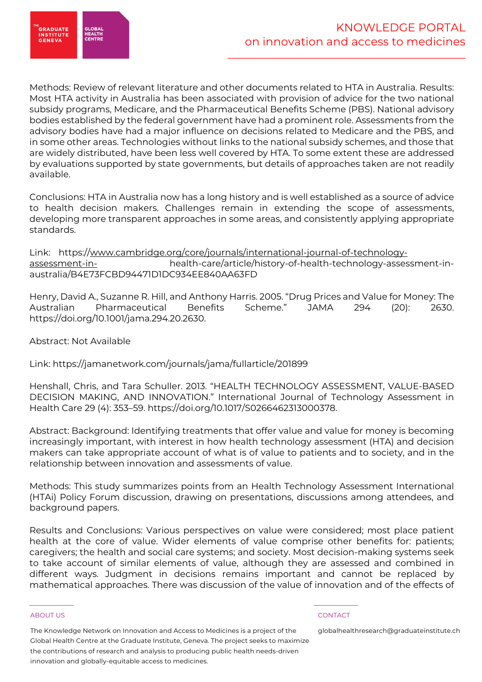

Methods: Review of relevant literature and other documents related to HTA in Australia. Results: Most HTA activity in Australia has been associated with provision of advice for the two national subsidy programs, Medicare, and the Pharmaceutical Benefits Scheme (PBS). National advisory bodies established by the federal government have had a prominent role. Assessments from the advisory bodies have had a major influence on decisions related to Medicare and the PBS, and in some other areas. Technologies without links to the national subsidy schemes, and those that are widely distributed, have been less well covered by HTA. To some extent these are addressed by evaluations supported by state governments, but details of approaches taken are not readily available.

Conclusions: HTA in Australia now has a long history and is well established as a source of advice to health decision makers. Challenges remain in extending the scope of assessments, developing more transparent approaches in some areas, and consistently applying appropriate standards.

Link: https://www.cambridge.org/core/journals/international-journal-of-technologyassessment-in-<br>health-care/article/history-of-health-technology-assessment-inaustralia/B4E73FCBD94471D1DC934EE840AA63FD

Henry, David A., Suzanne R. Hill, and Anthony Harris. 2005. "Drug Prices and Value for Money: The Australian Pharmaceutical Benefits Scheme." JAMA 294 (20): 2630. https://doi.org/10.1001/jama.294.20.2630.

Abstract: Not Available

Link: https://jamanetwork.com/journals/jama/fullarticle/201899

Henshall, Chris, and Tara Schuller. 2013. "HEALTH TECHNOLOGY ASSESSMENT, VALUE-BASED DECISION MAKING, AND INNOVATION." International Journal of Technology Assessment in Health Care 29 (4): 353–59. https://doi.org/10.1017/S0266462313000378.

Abstract: Background: Identifying treatments that offer value and value for money is becoming increasingly important, with interest in how health technology assessment (HTA) and decision makers can take appropriate account of what is of value to patients and to society, and in the relationship between innovation and assessments of value.

Methods: This study summarizes points from an Health Technology Assessment International (HTAi) Policy Forum discussion, drawing on presentations, discussions among attendees, and background papers.

Results and Conclusions: Various perspectives on value were considered; most place patient health at the core of value. Wider elements of value comprise other benefits for: patients; caregivers; the health and social care systems; and society. Most decision-making systems seek to take account of similar elements of value, although they are assessed and combined in different ways. Judgment in decisions remains important and cannot be replaced by mathematical approaches. There was discussion of the value of innovation and of the effects of

### ABOUT US CONTACT AND A RESERVE AND LODGED AT A RESERVE AND LODGED AT A RESERVE AND LODGED AT A RESERVE AND LODGED AT A RESERVE AND LODGED AT A RESERVE AND LODGED AT A RESERVE AND LODGED AT A RESERVE AND LODGED AT A RESERVE

The Knowledge Network on Innovation and Access to Medicines is a project of the Global Health Centre at the Graduate Institute, Geneva. The project seeks to maximize the contributions of research and analysis to producing public health needs-driven innovation and globally-equitable access to medicines.

\_\_\_\_\_\_\_\_\_\_\_ \_\_\_\_\_\_\_\_\_\_\_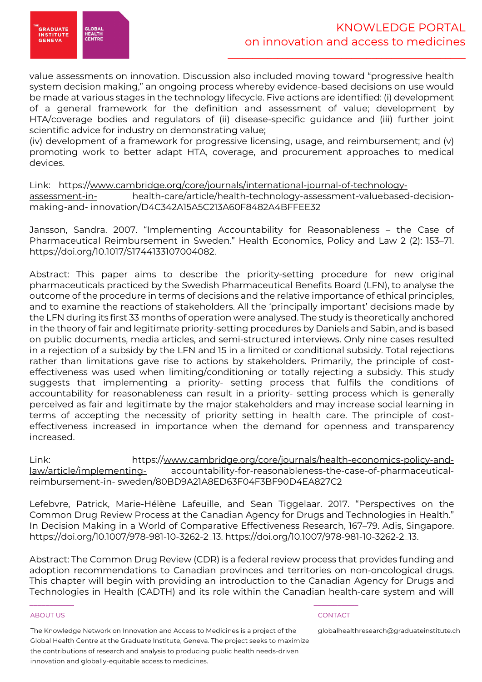

value assessments on innovation. Discussion also included moving toward "progressive health system decision making," an ongoing process whereby evidence-based decisions on use would be made at various stages in the technology lifecycle. Five actions are identified: (i) development of a general framework for the definition and assessment of value; development by HTA/coverage bodies and regulators of (ii) disease-specific guidance and (iii) further joint scientific advice for industry on demonstrating value;

(iv) development of a framework for progressive licensing, usage, and reimbursement; and (v) promoting work to better adapt HTA, coverage, and procurement approaches to medical devices.

Link: https://www.cambridge.org/core/journals/international-journal-of-technologyassessment-in-<br>health-care/article/health-technology-assessment-valuebased-decisionmaking-and- innovation/D4C342A15A5C213A60F8482A4BFFEE32

Jansson, Sandra. 2007. "Implementing Accountability for Reasonableness – the Case of Pharmaceutical Reimbursement in Sweden." Health Economics, Policy and Law 2 (2): 153–71. https://doi.org/10.1017/S1744133107004082.

Abstract: This paper aims to describe the priority-setting procedure for new original pharmaceuticals practiced by the Swedish Pharmaceutical Benefits Board (LFN), to analyse the outcome of the procedure in terms of decisions and the relative importance of ethical principles, and to examine the reactions of stakeholders. All the 'principally important' decisions made by the LFN during its first 33 months of operation were analysed. The study is theoretically anchored in the theory of fair and legitimate priority-setting procedures by Daniels and Sabin, and is based on public documents, media articles, and semi-structured interviews. Only nine cases resulted in a rejection of a subsidy by the LFN and 15 in a limited or conditional subsidy. Total rejections rather than limitations gave rise to actions by stakeholders. Primarily, the principle of costeffectiveness was used when limiting/conditioning or totally rejecting a subsidy. This study suggests that implementing a priority- setting process that fulfils the conditions of accountability for reasonableness can result in a priority- setting process which is generally perceived as fair and legitimate by the major stakeholders and may increase social learning in terms of accepting the necessity of priority setting in health care. The principle of costeffectiveness increased in importance when the demand for openness and transparency increased.

Link: https://www.cambridge.org/core/journals/health-economics-policy-andlaw/article/implementing- accountability-for-reasonableness-the-case-of-pharmaceuticalreimbursement-in- sweden/80BD9A21A8ED63F04F3BF90D4EA827C2

Lefebvre, Patrick, Marie-Hélène Lafeuille, and Sean Tiggelaar. 2017. "Perspectives on the Common Drug Review Process at the Canadian Agency for Drugs and Technologies in Health." In Decision Making in a World of Comparative Effectiveness Research, 167–79. Adis, Singapore. https://doi.org/10.1007/978-981-10-3262-2\_13. https://doi.org/10.1007/978-981-10-3262-2\_13.

Abstract: The Common Drug Review (CDR) is a federal review process that provides funding and adoption recommendations to Canadian provinces and territories on non-oncological drugs. This chapter will begin with providing an introduction to the Canadian Agency for Drugs and Technologies in Health (CADTH) and its role within the Canadian health-care system and will

### ABOUT US CONTACT AND A RESERVE AND LODGED AT A RESERVE AND LODGED AT A RESERVE AND LODGED AT A RESERVE AND LODGED AT A RESERVE AND LODGED AT A RESERVE AND LODGED AT A RESERVE AND LODGED AT A RESERVE AND LODGED AT A RESERVE

The Knowledge Network on Innovation and Access to Medicines is a project of the Global Health Centre at the Graduate Institute, Geneva. The project seeks to maximize the contributions of research and analysis to producing public health needs-driven innovation and globally-equitable access to medicines.

\_\_\_\_\_\_\_\_\_\_\_ \_\_\_\_\_\_\_\_\_\_\_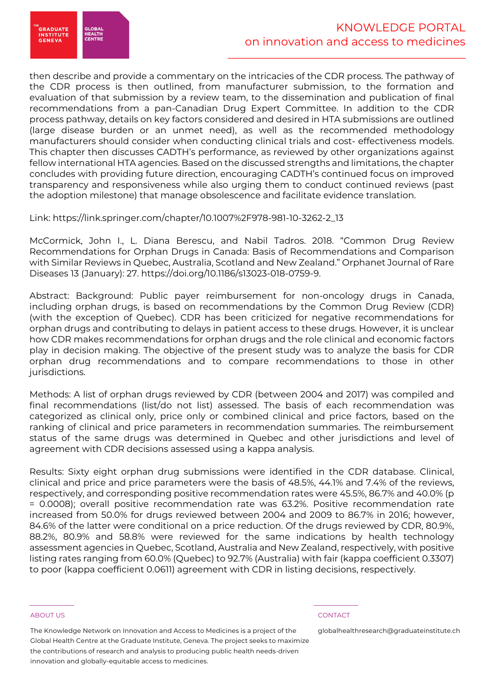.<br>GRADUATE<br>INSTITUTE **HEALTH<br>CENTR GENEVA** 

then describe and provide a commentary on the intricacies of the CDR process. The pathway of the CDR process is then outlined, from manufacturer submission, to the formation and evaluation of that submission by a review team, to the dissemination and publication of final recommendations from a pan-Canadian Drug Expert Committee. In addition to the CDR process pathway, details on key factors considered and desired in HTA submissions are outlined (large disease burden or an unmet need), as well as the recommended methodology manufacturers should consider when conducting clinical trials and cost- effectiveness models. This chapter then discusses CADTH's performance, as reviewed by other organizations against fellow international HTA agencies. Based on the discussed strengths and limitations, the chapter concludes with providing future direction, encouraging CADTH's continued focus on improved transparency and responsiveness while also urging them to conduct continued reviews (past the adoption milestone) that manage obsolescence and facilitate evidence translation.

Link: https://link.springer.com/chapter/10.1007%2F978-981-10-3262-2\_13

McCormick, John I., L. Diana Berescu, and Nabil Tadros. 2018. "Common Drug Review Recommendations for Orphan Drugs in Canada: Basis of Recommendations and Comparison with Similar Reviews in Quebec, Australia, Scotland and New Zealand." Orphanet Journal of Rare Diseases 13 (January): 27. https://doi.org/10.1186/s13023-018-0759-9.

Abstract: Background: Public payer reimbursement for non-oncology drugs in Canada, including orphan drugs, is based on recommendations by the Common Drug Review (CDR) (with the exception of Quebec). CDR has been criticized for negative recommendations for orphan drugs and contributing to delays in patient access to these drugs. However, it is unclear how CDR makes recommendations for orphan drugs and the role clinical and economic factors play in decision making. The objective of the present study was to analyze the basis for CDR orphan drug recommendations and to compare recommendations to those in other jurisdictions.

Methods: A list of orphan drugs reviewed by CDR (between 2004 and 2017) was compiled and final recommendations (list/do not list) assessed. The basis of each recommendation was categorized as clinical only, price only or combined clinical and price factors, based on the ranking of clinical and price parameters in recommendation summaries. The reimbursement status of the same drugs was determined in Quebec and other jurisdictions and level of agreement with CDR decisions assessed using a kappa analysis.

Results: Sixty eight orphan drug submissions were identified in the CDR database. Clinical, clinical and price and price parameters were the basis of 48.5%, 44.1% and 7.4% of the reviews, respectively, and corresponding positive recommendation rates were 45.5%, 86.7% and 40.0% (p = 0.0008); overall positive recommendation rate was 63.2%. Positive recommendation rate increased from 50.0% for drugs reviewed between 2004 and 2009 to 86.7% in 2016; however, 84.6% of the latter were conditional on a price reduction. Of the drugs reviewed by CDR, 80.9%, 88.2%, 80.9% and 58.8% were reviewed for the same indications by health technology assessment agencies in Quebec, Scotland, Australia and New Zealand, respectively, with positive listing rates ranging from 60.0% (Quebec) to 92.7% (Australia) with fair (kappa coefficient 0.3307) to poor (kappa coefficient 0.0611) agreement with CDR in listing decisions, respectively.

### ABOUT US CONTACT AND A RESERVE AND LODGED AT A RESERVE AND LODGED AT A RESERVE AND LODGED AT A RESERVE AND LODGED AT A RESERVE AND LODGED AT A RESERVE AND LODGED AT A RESERVE AND LODGED AT A RESERVE AND LODGED AT A RESERVE

The Knowledge Network on Innovation and Access to Medicines is a project of the Global Health Centre at the Graduate Institute, Geneva. The project seeks to maximize the contributions of research and analysis to producing public health needs-driven innovation and globally-equitable access to medicines.

\_\_\_\_\_\_\_\_\_\_\_ \_\_\_\_\_\_\_\_\_\_\_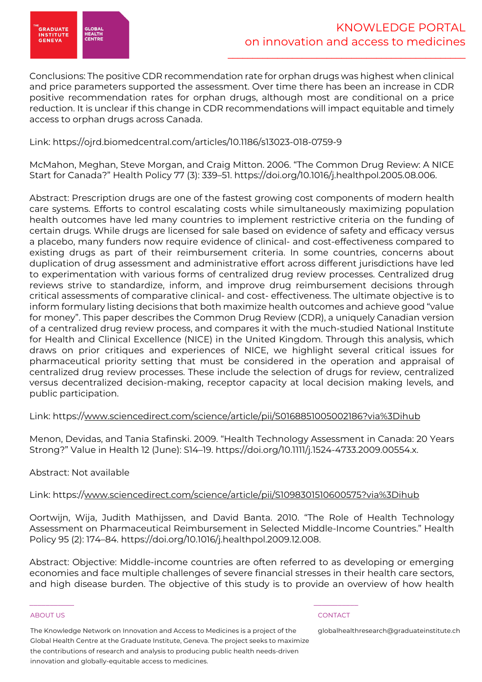

Conclusions: The positive CDR recommendation rate for orphan drugs was highest when clinical and price parameters supported the assessment. Over time there has been an increase in CDR positive recommendation rates for orphan drugs, although most are conditional on a price reduction. It is unclear if this change in CDR recommendations will impact equitable and timely access to orphan drugs across Canada.

# Link: https://ojrd.biomedcentral.com/articles/10.1186/s13023-018-0759-9

McMahon, Meghan, Steve Morgan, and Craig Mitton. 2006. "The Common Drug Review: A NICE Start for Canada?" Health Policy 77 (3): 339–51. https://doi.org/10.1016/j.healthpol.2005.08.006.

Abstract: Prescription drugs are one of the fastest growing cost components of modern health care systems. Efforts to control escalating costs while simultaneously maximizing population health outcomes have led many countries to implement restrictive criteria on the funding of certain drugs. While drugs are licensed for sale based on evidence of safety and efficacy versus a placebo, many funders now require evidence of clinical- and cost-effectiveness compared to existing drugs as part of their reimbursement criteria. In some countries, concerns about duplication of drug assessment and administrative effort across different jurisdictions have led to experimentation with various forms of centralized drug review processes. Centralized drug reviews strive to standardize, inform, and improve drug reimbursement decisions through critical assessments of comparative clinical- and cost- effectiveness. The ultimate objective is to inform formulary listing decisions that both maximize health outcomes and achieve good "value for money". This paper describes the Common Drug Review (CDR), a uniquely Canadian version of a centralized drug review process, and compares it with the much-studied National Institute for Health and Clinical Excellence (NICE) in the United Kingdom. Through this analysis, which draws on prior critiques and experiences of NICE, we highlight several critical issues for pharmaceutical priority setting that must be considered in the operation and appraisal of centralized drug review processes. These include the selection of drugs for review, centralized versus decentralized decision-making, receptor capacity at local decision making levels, and public participation.

# Link: https://www.sciencedirect.com/science/article/pii/S0168851005002186?via%3Dihub

Menon, Devidas, and Tania Stafinski. 2009. "Health Technology Assessment in Canada: 20 Years Strong?" Value in Health 12 (June): S14–19. https://doi.org/10.1111/j.1524-4733.2009.00554.x.

# Abstract: Not available

# Link: https://www.sciencedirect.com/science/article/pii/S1098301510600575?via%3Dihub

Oortwijn, Wija, Judith Mathijssen, and David Banta. 2010. "The Role of Health Technology Assessment on Pharmaceutical Reimbursement in Selected Middle-Income Countries." Health Policy 95 (2): 174–84. https://doi.org/10.1016/j.healthpol.2009.12.008.

Abstract: Objective: Middle-income countries are often referred to as developing or emerging economies and face multiple challenges of severe financial stresses in their health care sectors, and high disease burden. The objective of this study is to provide an overview of how health

### ABOUT US CONTACT AND A RESERVE AND LODGED AT A RESERVE AND LODGED AT A RESERVE AND LODGED AT A RESERVE AND LODGED AT A RESERVE AND LODGED AT A RESERVE AND LODGED AT A RESERVE AND LODGED AT A RESERVE AND LODGED AT A RESERVE

The Knowledge Network on Innovation and Access to Medicines is a project of the Global Health Centre at the Graduate Institute, Geneva. The project seeks to maximize the contributions of research and analysis to producing public health needs-driven innovation and globally-equitable access to medicines.

\_\_\_\_\_\_\_\_\_\_\_ \_\_\_\_\_\_\_\_\_\_\_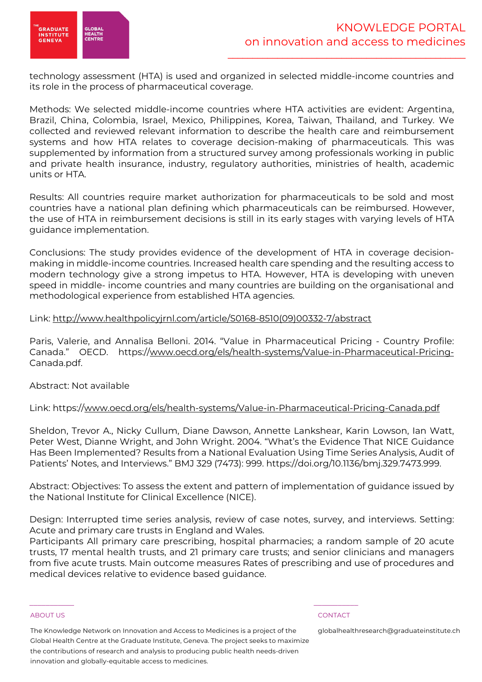

technology assessment (HTA) is used and organized in selected middle-income countries and its role in the process of pharmaceutical coverage.

Methods: We selected middle-income countries where HTA activities are evident: Argentina, Brazil, China, Colombia, Israel, Mexico, Philippines, Korea, Taiwan, Thailand, and Turkey. We collected and reviewed relevant information to describe the health care and reimbursement systems and how HTA relates to coverage decision-making of pharmaceuticals. This was supplemented by information from a structured survey among professionals working in public and private health insurance, industry, regulatory authorities, ministries of health, academic units or HTA.

Results: All countries require market authorization for pharmaceuticals to be sold and most countries have a national plan defining which pharmaceuticals can be reimbursed. However, the use of HTA in reimbursement decisions is still in its early stages with varying levels of HTA guidance implementation.

Conclusions: The study provides evidence of the development of HTA in coverage decisionmaking in middle-income countries. Increased health care spending and the resulting access to modern technology give a strong impetus to HTA. However, HTA is developing with uneven speed in middle- income countries and many countries are building on the organisational and methodological experience from established HTA agencies.

# Link: http://www.healthpolicyjrnl.com/article/S0168-8510(09)00332-7/abstract

Paris, Valerie, and Annalisa Belloni. 2014. "Value in Pharmaceutical Pricing - Country Profile: Canada." OECD. https://www.oecd.org/els/health-systems/Value-in-Pharmaceutical-Pricing-Canada.pdf.

# Abstract: Not available

# Link: https://www.oecd.org/els/health-systems/Value-in-Pharmaceutical-Pricing-Canada.pdf

Sheldon, Trevor A., Nicky Cullum, Diane Dawson, Annette Lankshear, Karin Lowson, Ian Watt, Peter West, Dianne Wright, and John Wright. 2004. "What's the Evidence That NICE Guidance Has Been Implemented? Results from a National Evaluation Using Time Series Analysis, Audit of Patients' Notes, and Interviews." BMJ 329 (7473): 999. https://doi.org/10.1136/bmj.329.7473.999.

Abstract: Objectives: To assess the extent and pattern of implementation of guidance issued by the National Institute for Clinical Excellence (NICE).

Design: Interrupted time series analysis, review of case notes, survey, and interviews. Setting: Acute and primary care trusts in England and Wales.

Participants All primary care prescribing, hospital pharmacies; a random sample of 20 acute trusts, 17 mental health trusts, and 21 primary care trusts; and senior clinicians and managers from five acute trusts. Main outcome measures Rates of prescribing and use of procedures and medical devices relative to evidence based guidance.

### ABOUT US CONTACT AND A RESERVE AND LODGED AT A RESERVE AND LODGED AT A RESERVE AND LODGED AT A RESERVE AND LODGED AT A RESERVE AND LODGED AT A RESERVE AND LODGED AT A RESERVE AND LODGED AT A RESERVE AND LODGED AT A RESERVE

The Knowledge Network on Innovation and Access to Medicines is a project of the Global Health Centre at the Graduate Institute, Geneva. The project seeks to maximize the contributions of research and analysis to producing public health needs-driven innovation and globally-equitable access to medicines.

\_\_\_\_\_\_\_\_\_\_\_ \_\_\_\_\_\_\_\_\_\_\_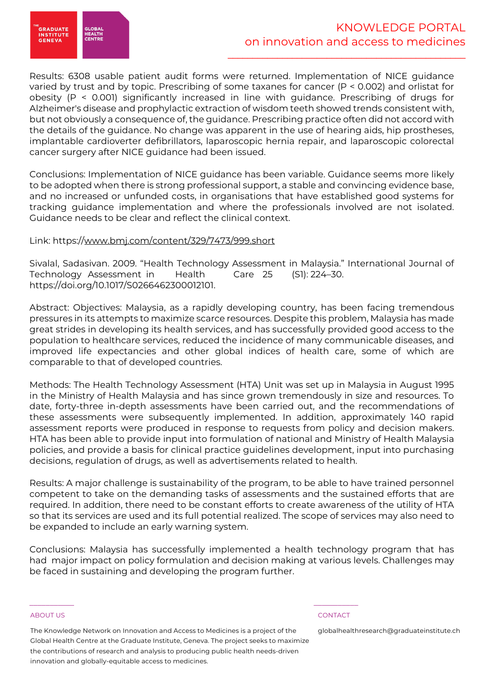

Results: 6308 usable patient audit forms were returned. Implementation of NICE guidance varied by trust and by topic. Prescribing of some taxanes for cancer (P < 0.002) and orlistat for obesity (P < 0.001) significantly increased in line with guidance. Prescribing of drugs for Alzheimer's disease and prophylactic extraction of wisdom teeth showed trends consistent with, but not obviously a consequence of, the guidance. Prescribing practice often did not accord with the details of the guidance. No change was apparent in the use of hearing aids, hip prostheses, implantable cardioverter defibrillators, laparoscopic hernia repair, and laparoscopic colorectal cancer surgery after NICE guidance had been issued.

Conclusions: Implementation of NICE guidance has been variable. Guidance seems more likely to be adopted when there is strong professional support, a stable and convincing evidence base, and no increased or unfunded costs, in organisations that have established good systems for tracking guidance implementation and where the professionals involved are not isolated. Guidance needs to be clear and reflect the clinical context.

# Link: https://www.bmj.com/content/329/7473/999.short

Sivalal, Sadasivan. 2009. "Health Technology Assessment in Malaysia." International Journal of Technology Assessment in Health Care 25 (S1): 224–30. https://doi.org/10.1017/S0266462300012101.

Abstract: Objectives: Malaysia, as a rapidly developing country, has been facing tremendous pressures in its attempts to maximize scarce resources. Despite this problem, Malaysia has made great strides in developing its health services, and has successfully provided good access to the population to healthcare services, reduced the incidence of many communicable diseases, and improved life expectancies and other global indices of health care, some of which are comparable to that of developed countries.

Methods: The Health Technology Assessment (HTA) Unit was set up in Malaysia in August 1995 in the Ministry of Health Malaysia and has since grown tremendously in size and resources. To date, forty-three in-depth assessments have been carried out, and the recommendations of these assessments were subsequently implemented. In addition, approximately 140 rapid assessment reports were produced in response to requests from policy and decision makers. HTA has been able to provide input into formulation of national and Ministry of Health Malaysia policies, and provide a basis for clinical practice guidelines development, input into purchasing decisions, regulation of drugs, as well as advertisements related to health.

Results: A major challenge is sustainability of the program, to be able to have trained personnel competent to take on the demanding tasks of assessments and the sustained efforts that are required. In addition, there need to be constant efforts to create awareness of the utility of HTA so that its services are used and its full potential realized. The scope of services may also need to be expanded to include an early warning system.

Conclusions: Malaysia has successfully implemented a health technology program that has had major impact on policy formulation and decision making at various levels. Challenges may be faced in sustaining and developing the program further.

### ABOUT US CONTACT AND A RESERVE AND LODGED AT A RESERVE AND LODGED AT A RESERVE AND LODGED AT A RESERVE AND LODGED AT A RESERVE AND LODGED AT A RESERVE AND LODGED AT A RESERVE AND LODGED AT A RESERVE AND LODGED AT A RESERVE

The Knowledge Network on Innovation and Access to Medicines is a project of the Global Health Centre at the Graduate Institute, Geneva. The project seeks to maximize the contributions of research and analysis to producing public health needs-driven innovation and globally-equitable access to medicines.

\_\_\_\_\_\_\_\_\_\_\_ \_\_\_\_\_\_\_\_\_\_\_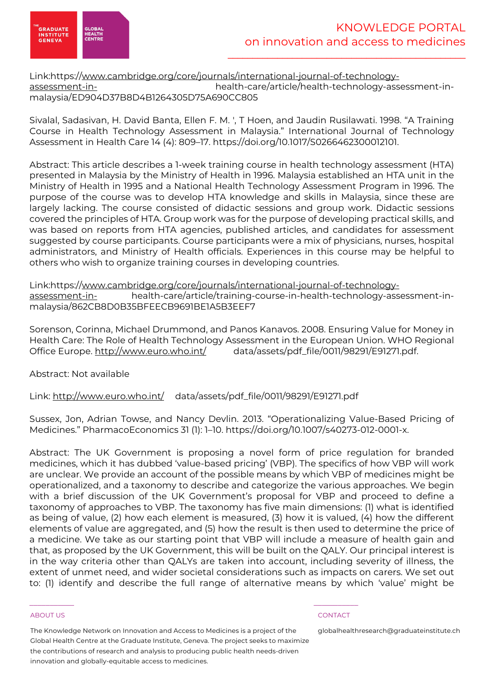

# Link:https://www.cambridge.org/core/journals/international-journal-of-technologyassessment-in- health-care/article/health-technology-assessment-inmalaysia/ED904D37B8D4B1264305D75A690CC805

Sivalal, Sadasivan, H. David Banta, Ellen F. M. ', T Hoen, and Jaudin Rusilawati. 1998. "A Training Course in Health Technology Assessment in Malaysia." International Journal of Technology Assessment in Health Care 14 (4): 809–17. https://doi.org/10.1017/S0266462300012101.

Abstract: This article describes a 1-week training course in health technology assessment (HTA) presented in Malaysia by the Ministry of Health in 1996. Malaysia established an HTA unit in the Ministry of Health in 1995 and a National Health Technology Assessment Program in 1996. The purpose of the course was to develop HTA knowledge and skills in Malaysia, since these are largely lacking. The course consisted of didactic sessions and group work. Didactic sessions covered the principles of HTA. Group work was for the purpose of developing practical skills, and was based on reports from HTA agencies, published articles, and candidates for assessment suggested by course participants. Course participants were a mix of physicians, nurses, hospital administrators, and Ministry of Health officials. Experiences in this course may be helpful to others who wish to organize training courses in developing countries.

Link:https://www.cambridge.org/core/journals/international-journal-of-technologyassessment-in-<br>health-care/article/training-course-in-health-technology-assessment-inmalaysia/862CB8D0B35BFEECB9691BE1A5B3EEF7

Sorenson, Corinna, Michael Drummond, and Panos Kanavos. 2008. Ensuring Value for Money in Health Care: The Role of Health Technology Assessment in the European Union. WHO Regional Office Europe. http://www.euro.who.int/ data/assets/pdf\_file/0011/98291/E91271.pdf.

Abstract: Not available

Link: http://www.euro.who.int/ data/assets/pdf\_file/0011/98291/E91271.pdf

Sussex, Jon, Adrian Towse, and Nancy Devlin. 2013. "Operationalizing Value-Based Pricing of Medicines." PharmacoEconomics 31 (1): 1–10. https://doi.org/10.1007/s40273-012-0001-x.

Abstract: The UK Government is proposing a novel form of price regulation for branded medicines, which it has dubbed 'value-based pricing' (VBP). The specifics of how VBP will work are unclear. We provide an account of the possible means by which VBP of medicines might be operationalized, and a taxonomy to describe and categorize the various approaches. We begin with a brief discussion of the UK Government's proposal for VBP and proceed to define a taxonomy of approaches to VBP. The taxonomy has five main dimensions: (1) what is identified as being of value, (2) how each element is measured, (3) how it is valued, (4) how the different elements of value are aggregated, and (5) how the result is then used to determine the price of a medicine. We take as our starting point that VBP will include a measure of health gain and that, as proposed by the UK Government, this will be built on the QALY. Our principal interest is in the way criteria other than QALYs are taken into account, including severity of illness, the extent of unmet need, and wider societal considerations such as impacts on carers. We set out to: (1) identify and describe the full range of alternative means by which 'value' might be

### ABOUT US CONTACT AND A RESERVE AND LODGED AT A RESERVE AND LODGED AT A RESERVE AND LODGED AT A RESERVE AND LODGED AT A RESERVE AND LODGED AT A RESERVE AND LODGED AT A RESERVE AND LODGED AT A RESERVE AND LODGED AT A RESERVE

The Knowledge Network on Innovation and Access to Medicines is a project of the Global Health Centre at the Graduate Institute, Geneva. The project seeks to maximize the contributions of research and analysis to producing public health needs-driven innovation and globally-equitable access to medicines.

\_\_\_\_\_\_\_\_\_\_\_ \_\_\_\_\_\_\_\_\_\_\_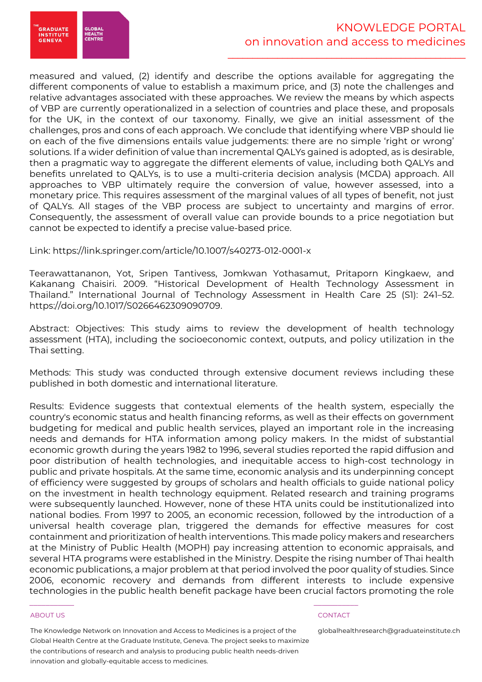

.<br>GRADUATE<br>INSTITUTE **SLOBA** HEALTH<br>CENTRI **GENEVA** 

measured and valued, (2) identify and describe the options available for aggregating the different components of value to establish a maximum price, and (3) note the challenges and relative advantages associated with these approaches. We review the means by which aspects of VBP are currently operationalized in a selection of countries and place these, and proposals for the UK, in the context of our taxonomy. Finally, we give an initial assessment of the challenges, pros and cons of each approach. We conclude that identifying where VBP should lie on each of the five dimensions entails value judgements: there are no simple 'right or wrong' solutions. If a wider definition of value than incremental QALYs gained is adopted, as is desirable, then a pragmatic way to aggregate the different elements of value, including both QALYs and benefits unrelated to QALYs, is to use a multi-criteria decision analysis (MCDA) approach. All approaches to VBP ultimately require the conversion of value, however assessed, into a monetary price. This requires assessment of the marginal values of all types of benefit, not just of QALYs. All stages of the VBP process are subject to uncertainty and margins of error. Consequently, the assessment of overall value can provide bounds to a price negotiation but cannot be expected to identify a precise value-based price.

Link: https://link.springer.com/article/10.1007/s40273-012-0001-x

Teerawattananon, Yot, Sripen Tantivess, Jomkwan Yothasamut, Pritaporn Kingkaew, and Kakanang Chaisiri. 2009. "Historical Development of Health Technology Assessment in Thailand." International Journal of Technology Assessment in Health Care 25 (S1): 241–52. https://doi.org/10.1017/S0266462309090709.

Abstract: Objectives: This study aims to review the development of health technology assessment (HTA), including the socioeconomic context, outputs, and policy utilization in the Thai setting.

Methods: This study was conducted through extensive document reviews including these published in both domestic and international literature.

Results: Evidence suggests that contextual elements of the health system, especially the country's economic status and health financing reforms, as well as their effects on government budgeting for medical and public health services, played an important role in the increasing needs and demands for HTA information among policy makers. In the midst of substantial economic growth during the years 1982 to 1996, several studies reported the rapid diffusion and poor distribution of health technologies, and inequitable access to high-cost technology in public and private hospitals. At the same time, economic analysis and its underpinning concept of efficiency were suggested by groups of scholars and health officials to guide national policy on the investment in health technology equipment. Related research and training programs were subsequently launched. However, none of these HTA units could be institutionalized into national bodies. From 1997 to 2005, an economic recession, followed by the introduction of a universal health coverage plan, triggered the demands for effective measures for cost containment and prioritization of health interventions. This made policy makers and researchers at the Ministry of Public Health (MOPH) pay increasing attention to economic appraisals, and several HTA programs were established in the Ministry. Despite the rising number of Thai health economic publications, a major problem at that period involved the poor quality of studies. Since 2006, economic recovery and demands from different interests to include expensive technologies in the public health benefit package have been crucial factors promoting the role

### ABOUT US CONTACT AND A RESERVE AND LODGED AT A RESERVE AND LODGED AT A RESERVE AND LODGED AT A RESERVE AND LODGED AT A RESERVE AND LODGED AT A RESERVE AND LODGED AT A RESERVE AND LODGED AT A RESERVE AND LODGED AT A RESERVE

The Knowledge Network on Innovation and Access to Medicines is a project of the Global Health Centre at the Graduate Institute, Geneva. The project seeks to maximize the contributions of research and analysis to producing public health needs-driven innovation and globally-equitable access to medicines.

\_\_\_\_\_\_\_\_\_\_\_ \_\_\_\_\_\_\_\_\_\_\_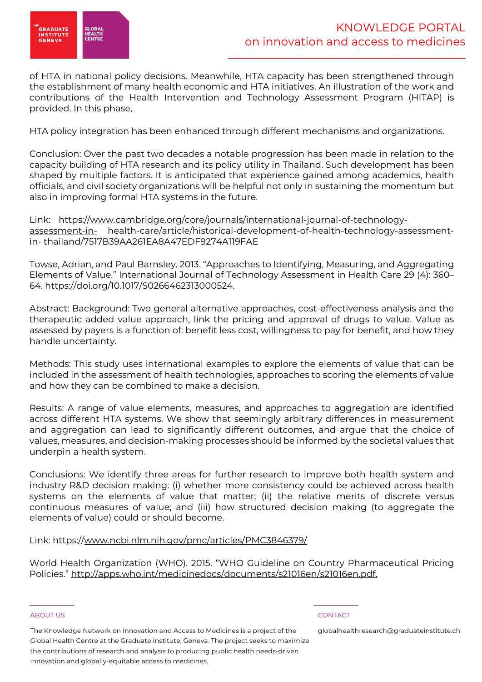

of HTA in national policy decisions. Meanwhile, HTA capacity has been strengthened through the establishment of many health economic and HTA initiatives. An illustration of the work and contributions of the Health Intervention and Technology Assessment Program (HITAP) is provided. In this phase,

HTA policy integration has been enhanced through different mechanisms and organizations.

Conclusion: Over the past two decades a notable progression has been made in relation to the capacity building of HTA research and its policy utility in Thailand. Such development has been shaped by multiple factors. It is anticipated that experience gained among academics, health officials, and civil society organizations will be helpful not only in sustaining the momentum but also in improving formal HTA systems in the future.

Link: https://www.cambridge.org/core/journals/international-journal-of-technologyassessment-in- health-care/article/historical-development-of-health-technology-assessmentin- thailand/7517B39AA261EA8A47EDF9274A119FAE

Towse, Adrian, and Paul Barnsley. 2013. "Approaches to Identifying, Measuring, and Aggregating Elements of Value." International Journal of Technology Assessment in Health Care 29 (4): 360– 64. https://doi.org/10.1017/S0266462313000524.

Abstract: Background: Two general alternative approaches, cost-effectiveness analysis and the therapeutic added value approach, link the pricing and approval of drugs to value. Value as assessed by payers is a function of: benefit less cost, willingness to pay for benefit, and how they handle uncertainty.

Methods: This study uses international examples to explore the elements of value that can be included in the assessment of health technologies, approaches to scoring the elements of value and how they can be combined to make a decision.

Results: A range of value elements, measures, and approaches to aggregation are identified across different HTA systems. We show that seemingly arbitrary differences in measurement and aggregation can lead to significantly different outcomes, and argue that the choice of values, measures, and decision-making processes should be informed by the societal values that underpin a health system.

Conclusions: We identify three areas for further research to improve both health system and industry R&D decision making: (i) whether more consistency could be achieved across health systems on the elements of value that matter; (ii) the relative merits of discrete versus continuous measures of value; and (iii) how structured decision making (to aggregate the elements of value) could or should become.

Link: https://www.ncbi.nlm.nih.gov/pmc/articles/PMC3846379/

World Health Organization (WHO). 2015. "WHO Guideline on Country Pharmaceutical Pricing Policies." http://apps.who.int/medicinedocs/documents/s21016en/s21016en.pdf.

### ABOUT US CONTACT AND A RESERVE AND LODGED AT A RESERVE AND LODGED AT A RESERVE AND LODGED AT A RESERVE AND LODGED AT A RESERVE AND LODGED AT A RESERVE AND LODGED AT A RESERVE AND LODGED AT A RESERVE AND LODGED AT A RESERVE

The Knowledge Network on Innovation and Access to Medicines is a project of the Global Health Centre at the Graduate Institute, Geneva. The project seeks to maximize the contributions of research and analysis to producing public health needs-driven innovation and globally-equitable access to medicines.

\_\_\_\_\_\_\_\_\_\_\_ \_\_\_\_\_\_\_\_\_\_\_